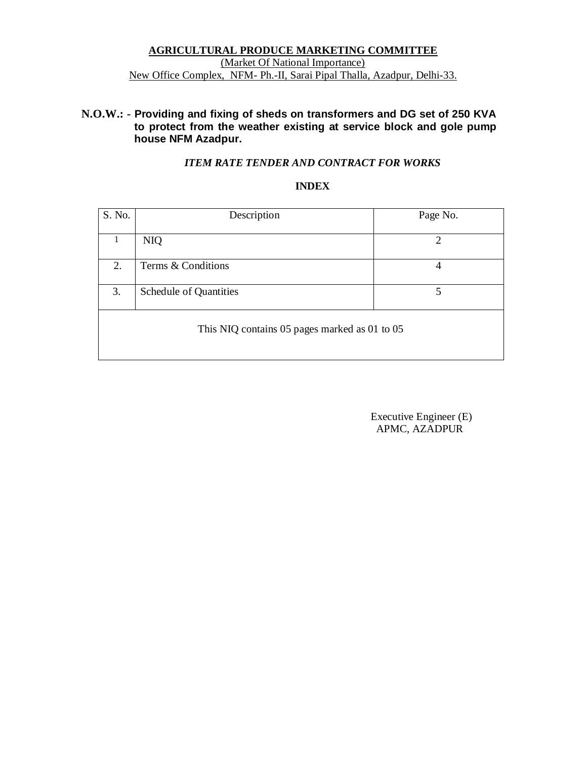### **AGRICULTURAL PRODUCE MARKETING COMMITTEE** (Market Of National Importance) New Office Complex, NFM- Ph.-II, Sarai Pipal Thalla, Azadpur, Delhi-33.

### **N.O.W.: - Providing and fixing of sheds on transformers and DG set of 250 KVA to protect from the weather existing at service block and gole pump house NFM Azadpur.**

### *ITEM RATE TENDER AND CONTRACT FOR WORKS*

### **INDEX**

| S. No.                                        | Description            | Page No.                    |  |  |  |  |  |
|-----------------------------------------------|------------------------|-----------------------------|--|--|--|--|--|
|                                               |                        |                             |  |  |  |  |  |
| 1                                             | <b>NIQ</b>             | $\mathcal{D}_{\mathcal{L}}$ |  |  |  |  |  |
|                                               |                        |                             |  |  |  |  |  |
| 2.                                            | Terms & Conditions     | 4                           |  |  |  |  |  |
| 3.                                            | Schedule of Quantities | 5                           |  |  |  |  |  |
| This NIQ contains 05 pages marked as 01 to 05 |                        |                             |  |  |  |  |  |

 Executive Engineer (E) APMC, AZADPUR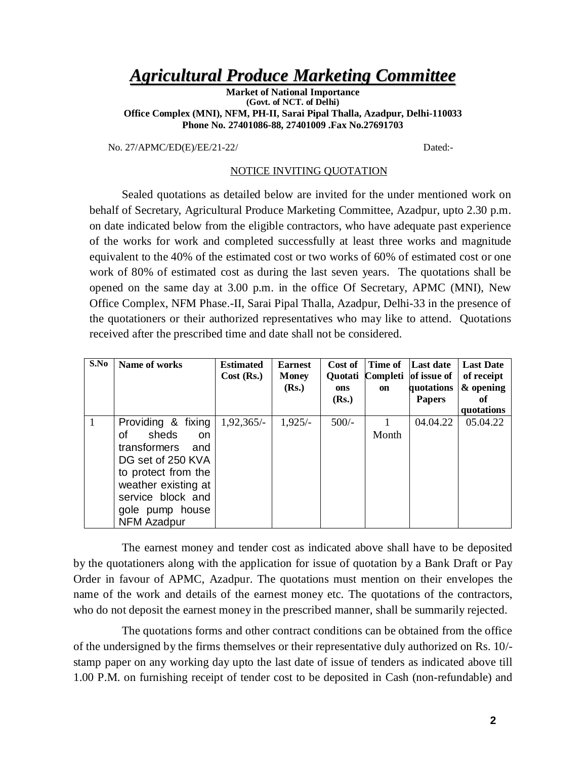## *Agricultural Produce Marketing Committee*

**Market of National Importance (Govt. of NCT. of Delhi) Office Complex (MNI), NFM, PH-II, Sarai Pipal Thalla, Azadpur, Delhi-110033 Phone No. 27401086-88, 27401009 .Fax No.27691703**

No. 27/APMC/ED(E)/EE/21-22/ Dated:-

#### NOTICE INVITING QUOTATION

Sealed quotations as detailed below are invited for the under mentioned work on behalf of Secretary, Agricultural Produce Marketing Committee, Azadpur, upto 2.30 p.m. on date indicated below from the eligible contractors, who have adequate past experience of the works for work and completed successfully at least three works and magnitude equivalent to the 40% of the estimated cost or two works of 60% of estimated cost or one work of 80% of estimated cost as during the last seven years. The quotations shall be opened on the same day at 3.00 p.m. in the office Of Secretary, APMC (MNI), New Office Complex, NFM Phase.-II, Sarai Pipal Thalla, Azadpur, Delhi-33 in the presence of the quotationers or their authorized representatives who may like to attend. Quotations received after the prescribed time and date shall not be considered.

| S.No | Name of works                                                                                                                                                                                              | <b>Estimated</b><br>Cost (Rs.) | <b>Earnest</b><br><b>Money</b><br>(Rs.) | Cost of<br><b>Ouotati</b><br>ons<br>(Rs.) | Time of<br>Completi<br>on | Last date<br>of issue of<br>quotations<br><b>Papers</b> | <b>Last Date</b><br>of receipt<br>& opening<br>оf<br>quotations |
|------|------------------------------------------------------------------------------------------------------------------------------------------------------------------------------------------------------------|--------------------------------|-----------------------------------------|-------------------------------------------|---------------------------|---------------------------------------------------------|-----------------------------------------------------------------|
| -1   | Providing & fixing<br>sheds<br>Ωf<br><sub>on</sub><br>transformers<br>and<br>DG set of 250 KVA<br>to protect from the<br>weather existing at<br>service block and<br>gole pump house<br><b>NFM Azadpur</b> | $1,92,365/-$                   | $1,925/-$                               | $500/-$                                   | Month                     | 04.04.22                                                | 05.04.22                                                        |

The earnest money and tender cost as indicated above shall have to be deposited by the quotationers along with the application for issue of quotation by a Bank Draft or Pay Order in favour of APMC, Azadpur. The quotations must mention on their envelopes the name of the work and details of the earnest money etc. The quotations of the contractors, who do not deposit the earnest money in the prescribed manner, shall be summarily rejected.

The quotations forms and other contract conditions can be obtained from the office of the undersigned by the firms themselves or their representative duly authorized on Rs. 10/ stamp paper on any working day upto the last date of issue of tenders as indicated above till 1.00 P.M. on furnishing receipt of tender cost to be deposited in Cash (non-refundable) and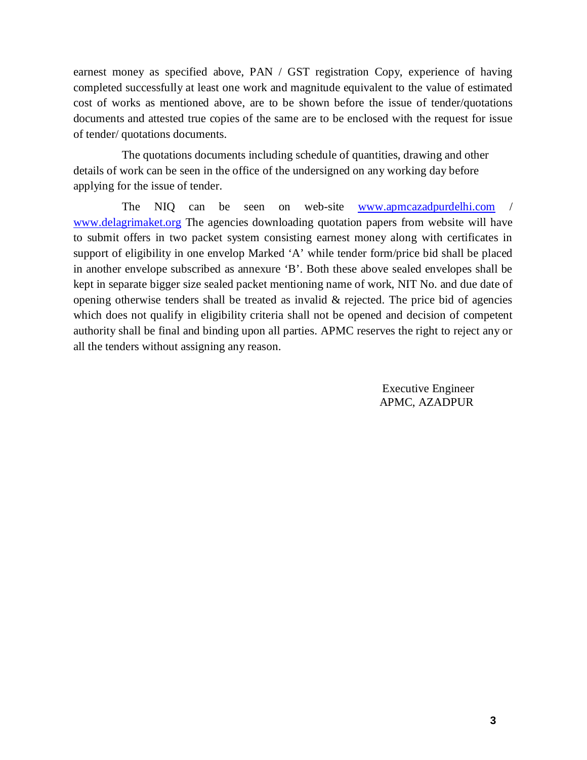earnest money as specified above, PAN / GST registration Copy, experience of having completed successfully at least one work and magnitude equivalent to the value of estimated cost of works as mentioned above, are to be shown before the issue of tender/quotations documents and attested true copies of the same are to be enclosed with the request for issue of tender/ quotations documents.

The quotations documents including schedule of quantities, drawing and other details of work can be seen in the office of the undersigned on any working day before applying for the issue of tender.

The NIQ can be seen on web-site www.apmcazadpurdelhi.com / www.delagrimaket.org The agencies downloading quotation papers from website will have to submit offers in two packet system consisting earnest money along with certificates in support of eligibility in one envelop Marked 'A' while tender form/price bid shall be placed in another envelope subscribed as annexure 'B'. Both these above sealed envelopes shall be kept in separate bigger size sealed packet mentioning name of work, NIT No. and due date of opening otherwise tenders shall be treated as invalid  $\&$  rejected. The price bid of agencies which does not qualify in eligibility criteria shall not be opened and decision of competent authority shall be final and binding upon all parties. APMC reserves the right to reject any or all the tenders without assigning any reason.

> Executive Engineer APMC, AZADPUR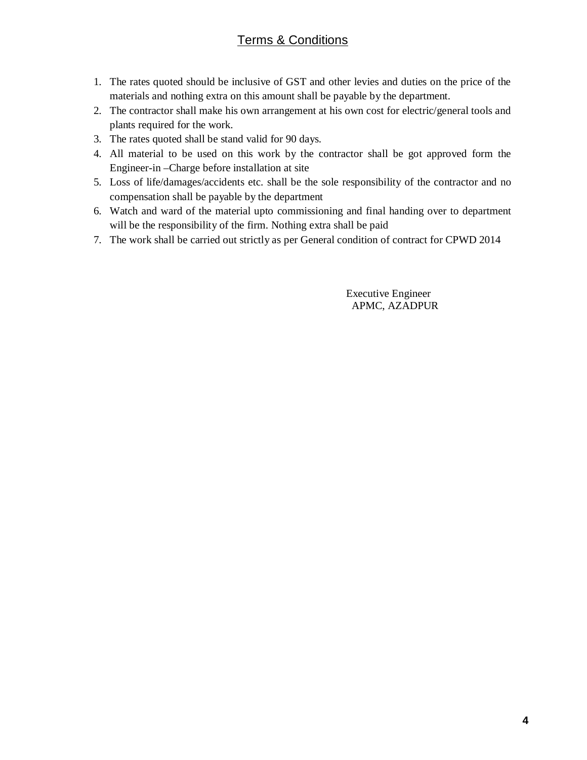### Terms & Conditions

- 1. The rates quoted should be inclusive of GST and other levies and duties on the price of the materials and nothing extra on this amount shall be payable by the department.
- 2. The contractor shall make his own arrangement at his own cost for electric/general tools and plants required for the work.
- 3. The rates quoted shall be stand valid for 90 days.
- 4. All material to be used on this work by the contractor shall be got approved form the Engineer-in –Charge before installation at site
- 5. Loss of life/damages/accidents etc. shall be the sole responsibility of the contractor and no compensation shall be payable by the department
- 6. Watch and ward of the material upto commissioning and final handing over to department will be the responsibility of the firm. Nothing extra shall be paid
- 7. The work shall be carried out strictly as per General condition of contract for CPWD 2014

 Executive Engineer APMC, AZADPUR